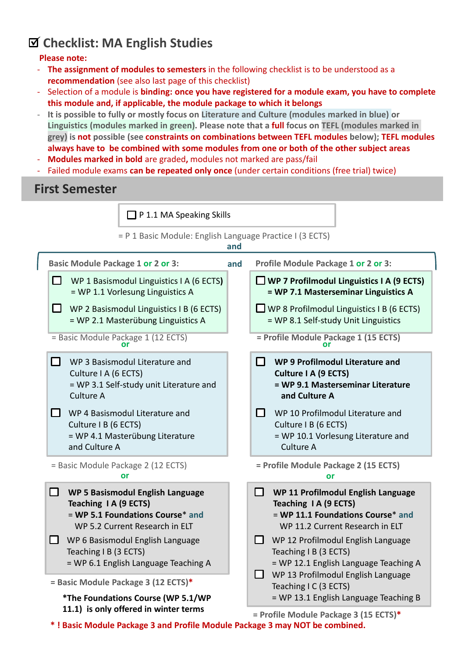## **Checklist: MA English Studies**

### **Please note:**

- ‐ **The assignment of modules to semesters** in the following checklist is to be understood as a **recommendation** (see also last page of this checklist)
- ‐ Selection of a module is **binding: once you have registered for a module exam, you have to complete this module and, if applicable, the module package to which it belongs**
- ‐ **It is possible to fully or mostly focus on Literature and Culture (modules marked in blue) or Linguistics (modules marked in green). Please note that a full focus on TEFL (modules marked in grey) is not possible (see constraints on combinations between TEFL modules below); TEFL modules always have to be combined with some modules from one or both of the other subject areas**
- ‐ **Modules marked in bold** are graded**,** modules not marked are pass/fail
- ‐ Failed module exams **can be repeated only once** (under certain conditions (free trial) twice)

### **First Semester**

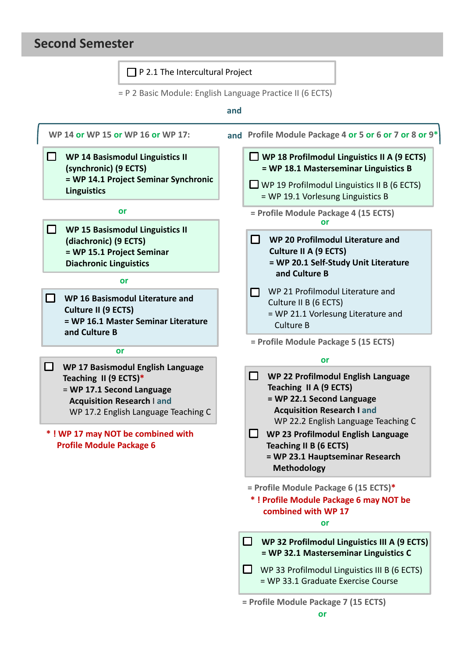# **Second Semester**

| P 2.1 The Intercultural Project                                                                                                                                                                                                                  |                                                                        |                                            |                                                                                                                                                        |                                                                                                                                                                                   |                                                                                                                                                                                 |
|--------------------------------------------------------------------------------------------------------------------------------------------------------------------------------------------------------------------------------------------------|------------------------------------------------------------------------|--------------------------------------------|--------------------------------------------------------------------------------------------------------------------------------------------------------|-----------------------------------------------------------------------------------------------------------------------------------------------------------------------------------|---------------------------------------------------------------------------------------------------------------------------------------------------------------------------------|
| = P 2 Basic Module: English Language Practice II (6 ECTS)                                                                                                                                                                                        |                                                                        |                                            |                                                                                                                                                        |                                                                                                                                                                                   |                                                                                                                                                                                 |
|                                                                                                                                                                                                                                                  |                                                                        |                                            |                                                                                                                                                        |                                                                                                                                                                                   |                                                                                                                                                                                 |
| WP 14 or WP 15 or WP 16 or WP 17:                                                                                                                                                                                                                |                                                                        |                                            |                                                                                                                                                        |                                                                                                                                                                                   | and Profile Module Package 4 or 5 or 6 or 7 or 8 or 9*                                                                                                                          |
| <b>WP 14 Basismodul Linguistics II</b><br>(synchronic) (9 ECTS)<br>= WP 14.1 Project Seminar Synchronic<br><b>Linguistics</b>                                                                                                                    |                                                                        |                                            |                                                                                                                                                        | = WP 19.1 Vorlesung Linguistics B                                                                                                                                                 | $\Box$ WP 18 Profilmodul Linguistics II A (9 ECTS)<br>= WP 18.1 Masterseminar Linguistics B<br>$\Box$ WP 19 Profilmodul Linguistics II B (6 ECTS)                               |
| or                                                                                                                                                                                                                                               |                                                                        | = Profile Module Package 4 (15 ECTS)<br>or |                                                                                                                                                        |                                                                                                                                                                                   |                                                                                                                                                                                 |
| П<br>(diachronic) (9 ECTS)<br>= WP 15.1 Project Seminar<br><b>Diachronic Linguistics</b>                                                                                                                                                         | <b>WP 15 Basismodul Linguistics II</b>                                 |                                            | П                                                                                                                                                      | WP 20 Profilmodul Literature and<br><b>Culture II A (9 ECTS)</b>                                                                                                                  | = WP 20.1 Self-Study Unit Literature                                                                                                                                            |
| or<br>I I<br>Culture II (9 ECTS)<br>and Culture B                                                                                                                                                                                                | WP 16 Basismodul Literature and<br>= WP 16.1 Master Seminar Literature |                                            | and Culture B<br>WP 21 Profilmodul Literature and<br>$\blacksquare$<br>Culture II B (6 ECTS)<br>= WP 21.1 Vorlesung Literature and<br><b>Culture B</b> |                                                                                                                                                                                   |                                                                                                                                                                                 |
| or                                                                                                                                                                                                                                               |                                                                        |                                            |                                                                                                                                                        | = Profile Module Package 5 (15 ECTS)                                                                                                                                              |                                                                                                                                                                                 |
| □<br>WP 17 Basismodul English Language<br>Teaching II (9 ECTS)*<br>= WP 17.1 Second Language<br><b>Acquisition Research I and</b><br>WP 17.2 English Language Teaching C<br>*! WP 17 may NOT be combined with<br><b>Profile Module Package 6</b> |                                                                        |                                            | □<br>LТ                                                                                                                                                | or<br>Teaching II A (9 ECTS)<br>= WP 22.1 Second Language<br><b>Acquisition Research I and</b><br>Teaching II B (6 ECTS)<br>= WP 23.1 Hauptseminar Research<br><b>Methodology</b> | WP 22 Profilmodul English Language<br>WP 22.2 English Language Teaching C<br>WP 23 Profilmodul English Language                                                                 |
|                                                                                                                                                                                                                                                  |                                                                        |                                            | $\Box$<br>ப                                                                                                                                            | = Profile Module Package 6 (15 ECTS)*<br>combined with WP 17<br>or<br>= WP 33.1 Graduate Exercise Course                                                                          | *! Profile Module Package 6 may NOT be<br>WP 32 Profilmodul Linguistics III A (9 ECTS)<br>= WP 32.1 Masterseminar Linguistics C<br>WP 33 Profilmodul Linguistics III B (6 ECTS) |

**= Profile Module Package 7 (15 ECTS)**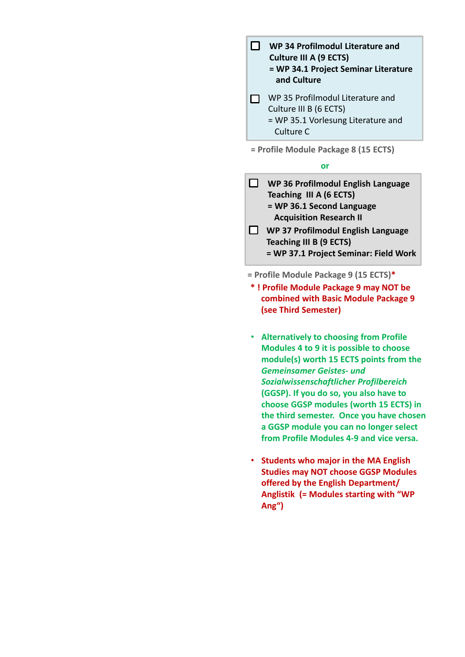| WP 34 Profilmodul Literature and<br><b>Culture III A (9 ECTS)</b><br>= WP 34.1 Project Seminar Literature<br>and Culture |
|--------------------------------------------------------------------------------------------------------------------------|
| WP 35 Profilmodul Literature and<br>Culture III B (6 ECTS)<br>= WP 35.1 Vorlesung Literature and<br>Culture C            |
|                                                                                                                          |

**= Profile Module Package 8 (15 ECTS)**

C

 $\Gamma$ 

#### **or**

| WP 36 Profilmodul English Language |
|------------------------------------|
| Teaching III A (6 ECTS)            |
| = WP 36.1 Second Language          |
| <b>Acquisition Research II</b>     |
| WP 37 Profilmodul English Language |

**Teaching III B (9 ECTS) = WP 37.1 Project Seminar: Field Work**

**= Profile Module Package 9 (15 ECTS)\***

- **\* ! Profile Module Package 9 may NOT be combined with Basic Module Package 9 (see Third Semester)**
- **Alternatively to choosing from Profile Modules 4 to 9 it is possible to choose module(s) worth 15 ECTS points from the** *Gemeinsamer Geistes‐ und Sozialwissenschaftlicher Profilbereich*  **(GGSP). If you do so, you also have to choose GGSP modules (worth 15 ECTS) in the third semester. Once you have chosen a GGSP module you can no longer select from Profile Modules 4‐9 and vice versa.**
- **Students who major in the MA English Studies may NOT choose GGSP Modules offered by the English Department/ Anglistik (= Modules starting with "WP Ang")**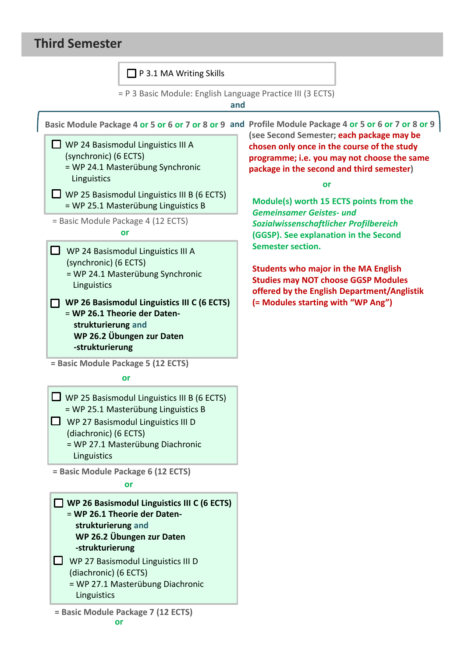## **Third Semester**

| $\Box$ P 3.1 MA Writing Skills                                                                                                                                                                                                                                                                                                                                                                                                                                                                                                                                                         |                                                                                                                                                                                                                                                                                                                                                                                                                                                                                                                                                                                                                                                                                    |  |  |  |  |  |
|----------------------------------------------------------------------------------------------------------------------------------------------------------------------------------------------------------------------------------------------------------------------------------------------------------------------------------------------------------------------------------------------------------------------------------------------------------------------------------------------------------------------------------------------------------------------------------------|------------------------------------------------------------------------------------------------------------------------------------------------------------------------------------------------------------------------------------------------------------------------------------------------------------------------------------------------------------------------------------------------------------------------------------------------------------------------------------------------------------------------------------------------------------------------------------------------------------------------------------------------------------------------------------|--|--|--|--|--|
| = P 3 Basic Module: English Language Practice III (3 ECTS)<br>and                                                                                                                                                                                                                                                                                                                                                                                                                                                                                                                      |                                                                                                                                                                                                                                                                                                                                                                                                                                                                                                                                                                                                                                                                                    |  |  |  |  |  |
| $\Box$ WP 24 Basismodul Linguistics III A<br>(synchronic) (6 ECTS)<br>= WP 24.1 Masterübung Synchronic<br>Linguistics<br>$\Box$ WP 25 Basismodul Linguistics III B (6 ECTS)<br>= WP 25.1 Masterübung Linguistics B<br>= Basic Module Package 4 (12 ECTS)<br>or<br>WP 24 Basismodul Linguistics III A<br>ப<br>(synchronic) (6 ECTS)<br>= WP 24.1 Masterübung Synchronic<br>Linguistics<br>WP 26 Basismodul Linguistics III C (6 ECTS)<br>= WP 26.1 Theorie der Daten-<br>strukturierung and<br>WP 26.2 Übungen zur Daten<br>-strukturierung<br>= Basic Module Package 5 (12 ECTS)<br>or | Basic Module Package 4 or 5 or 6 or 7 or 8 or 9 and Profile Module Package 4 or 5 or 6 or 7 or 8 or 9<br>(see Second Semester; each package may be<br>chosen only once in the course of the study<br>programme; i.e. you may not choose the same<br>package in the second and third semester)<br>or<br>Module(s) worth 15 ECTS points from the<br><b>Gemeinsamer Geistes- und</b><br>Sozialwissenschaftlicher Profilbereich<br>(GGSP). See explanation in the Second<br><b>Semester section.</b><br><b>Students who major in the MA English</b><br><b>Studies may NOT choose GGSP Modules</b><br>offered by the English Department/Anglistik<br>(= Modules starting with "WP Ang") |  |  |  |  |  |
| $\Box$ WP 25 Basismodul Linguistics III B (6 ECTS)<br>= WP 25.1 Masterübung Linguistics B<br>WP 27 Basismodul Linguistics III D<br>I I<br>(diachronic) (6 ECTS)<br>= WP 27.1 Masterübung Diachronic<br>Linguistics                                                                                                                                                                                                                                                                                                                                                                     |                                                                                                                                                                                                                                                                                                                                                                                                                                                                                                                                                                                                                                                                                    |  |  |  |  |  |

**= Basic Module Package 6 (12 ECTS)**

#### **or**



**= Basic Module Package 7 (12 ECTS) or**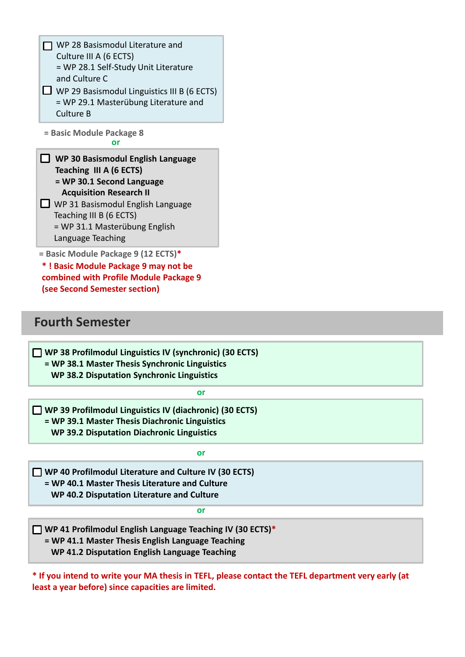

**least a year before) since capacities are limited.**